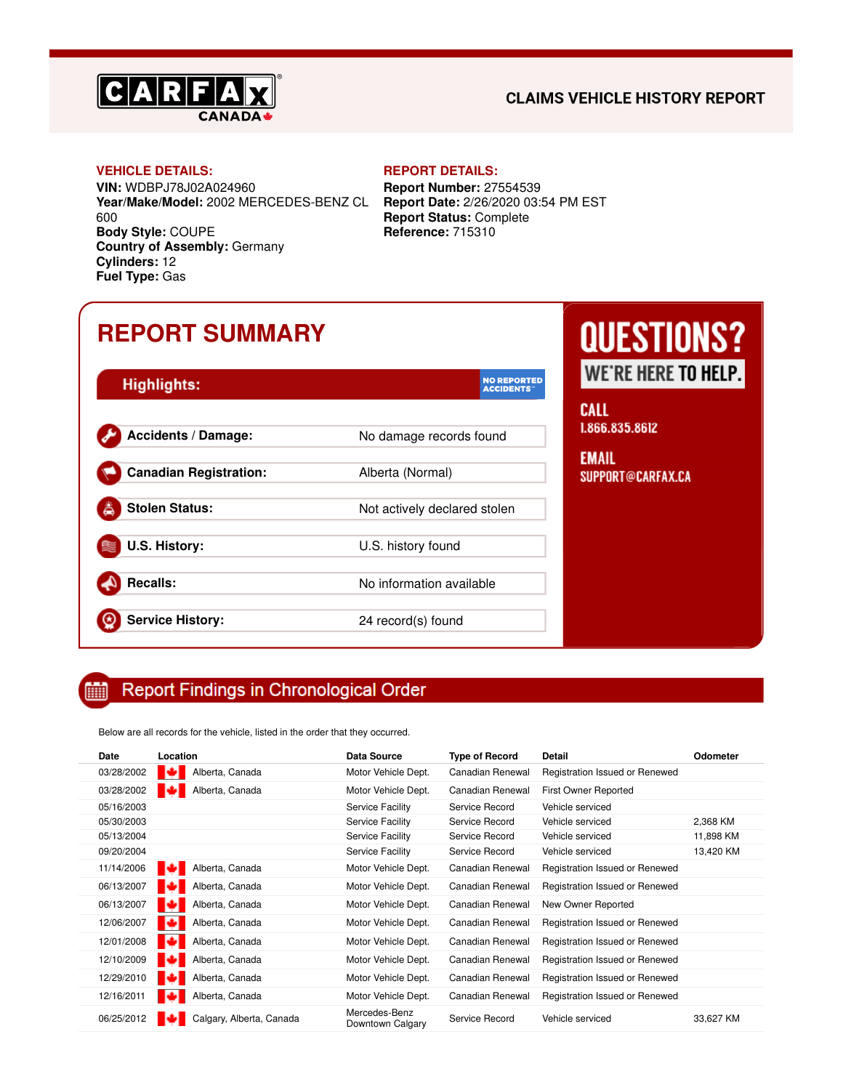

### **CLAIMS VEHICLE HISTORY REPORT**

#### **VEHICLE DETAILS: REPORT DETAILS:**

**VIN:** WDBPJ78J02A024960 **Year/Make/Model:** 2002 MERCEDES-BENZ CL 600 **Body Style:** COUPE **Country of Assembly:** Germany **Cylinders:** 12 **Fuel Type:** Gas

**Report Number:** 27554539 **Report Date:** 2/26/2020 03:54 PM EST **Report Status:** Complete **Reference:** 715310

## **REPORT SUMMARY**

| <b>Highlights:</b>            | <b>NO REPORTED</b><br><b>ACCIDENTS</b> |
|-------------------------------|----------------------------------------|
| <b>Accidents / Damage:</b>    | No damage records found                |
| <b>Canadian Registration:</b> | Alberta (Normal)                       |
| <b>Stolen Status:</b>         | Not actively declared stolen           |
| U.S. History:                 | U.S. history found                     |
| <b>Recalls:</b>               | No information available               |
| <b>Service History:</b>       | 24 record(s) found                     |

# **QUESTIONS?** WE'RE HERE TO HELP.

**ALL** 866.835.8612

MAIL UPPORT@CARFAX.CA

#### **Report Findings in Chronological Order** 雦

Below are all records for the vehicle, listed in the order that they occurred.

| Date       | Location                 | <b>Data Source</b>                | <b>Type of Record</b> | <b>Detail</b>                  | Odometer  |
|------------|--------------------------|-----------------------------------|-----------------------|--------------------------------|-----------|
| 03/28/2002 | ю<br>Alberta, Canada     | Motor Vehicle Dept.               | Canadian Renewal      | Registration Issued or Renewed |           |
| 03/28/2002 | Alberta, Canada<br>IC 2  | Motor Vehicle Dept.               | Canadian Renewal      | First Owner Reported           |           |
| 05/16/2003 |                          | Service Facility                  | Service Record        | Vehicle serviced               |           |
| 05/30/2003 |                          | Service Facility                  | Service Record        | Vehicle serviced               | 2,368 KM  |
| 05/13/2004 |                          | Service Facility                  | Service Record        | Vehicle serviced               | 11,898 KM |
| 09/20/2004 |                          | Service Facility                  | Service Record        | Vehicle serviced               | 13,420 KM |
| 11/14/2006 | ю<br>Alberta, Canada     | Motor Vehicle Dept.               | Canadian Renewal      | Registration Issued or Renewed |           |
| 06/13/2007 | Alberta, Canada<br>ю     | Motor Vehicle Dept.               | Canadian Renewal      | Registration Issued or Renewed |           |
| 06/13/2007 | ю<br>Alberta, Canada     | Motor Vehicle Dept.               | Canadian Renewal      | New Owner Reported             |           |
| 12/06/2007 | Alberta, Canada          | Motor Vehicle Dept.               | Canadian Renewal      | Registration Issued or Renewed |           |
| 12/01/2008 | Alberta, Canada<br>гa    | Motor Vehicle Dept.               | Canadian Renewal      | Registration Issued or Renewed |           |
| 12/10/2009 | Alberta, Canada<br>IЮ    | Motor Vehicle Dept.               | Canadian Renewal      | Registration Issued or Renewed |           |
| 12/29/2010 | Alberta, Canada<br>ТØ    | Motor Vehicle Dept.               | Canadian Renewal      | Registration Issued or Renewed |           |
| 12/16/2011 | Alberta, Canada          | Motor Vehicle Dept.               | Canadian Renewal      | Registration Issued or Renewed |           |
| 06/25/2012 | Calgary, Alberta, Canada | Mercedes-Benz<br>Downtown Calgary | Service Record        | Vehicle serviced               | 33,627 KM |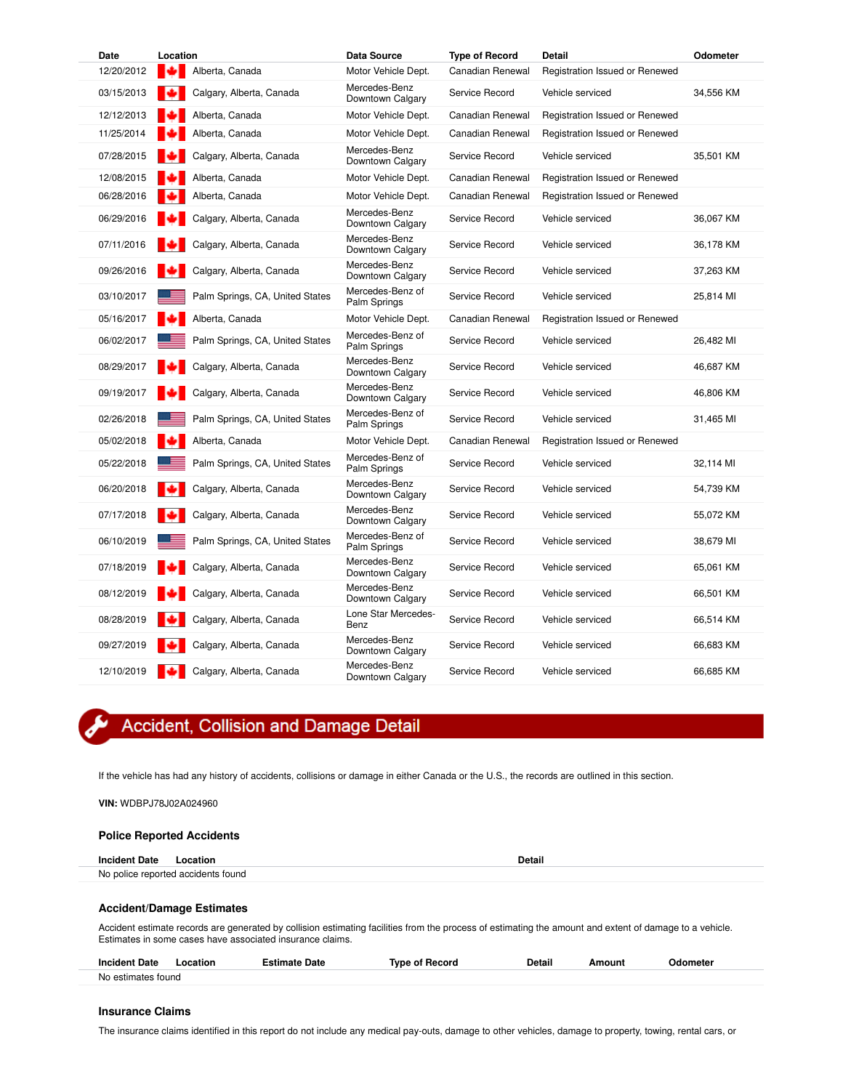| <b>Date</b> | Location |                                 | Data Source                       | <b>Type of Record</b> | <b>Detail</b>                  | Odometer  |
|-------------|----------|---------------------------------|-----------------------------------|-----------------------|--------------------------------|-----------|
| 12/20/2012  |          | Alberta, Canada                 | Motor Vehicle Dept.               | Canadian Renewal      | Registration Issued or Renewed |           |
| 03/15/2013  |          | Calgary, Alberta, Canada        | Mercedes-Benz<br>Downtown Calgary | Service Record        | Vehicle serviced               | 34,556 KM |
| 12/12/2013  |          | Alberta, Canada                 | Motor Vehicle Dept.               | Canadian Renewal      | Registration Issued or Renewed |           |
| 11/25/2014  |          | Alberta, Canada                 | Motor Vehicle Dept.               | Canadian Renewal      | Registration Issued or Renewed |           |
| 07/28/2015  |          | Calgary, Alberta, Canada        | Mercedes-Benz<br>Downtown Calgary | Service Record        | Vehicle serviced               | 35,501 KM |
| 12/08/2015  |          | Alberta, Canada                 | Motor Vehicle Dept.               | Canadian Renewal      | Registration Issued or Renewed |           |
| 06/28/2016  |          | Alberta, Canada                 | Motor Vehicle Dept.               | Canadian Renewal      | Registration Issued or Renewed |           |
| 06/29/2016  |          | Calgary, Alberta, Canada        | Mercedes-Benz<br>Downtown Calgary | Service Record        | Vehicle serviced               | 36,067 KM |
| 07/11/2016  |          | Calgary, Alberta, Canada        | Mercedes-Benz<br>Downtown Calgary | Service Record        | Vehicle serviced               | 36,178 KM |
| 09/26/2016  |          | Calgary, Alberta, Canada        | Mercedes-Benz<br>Downtown Calgary | Service Record        | Vehicle serviced               | 37,263 KM |
| 03/10/2017  |          | Palm Springs, CA, United States | Mercedes-Benz of<br>Palm Springs  | Service Record        | Vehicle serviced               | 25,814 MI |
| 05/16/2017  |          | Alberta, Canada                 | Motor Vehicle Dept.               | Canadian Renewal      | Registration Issued or Renewed |           |
| 06/02/2017  |          | Palm Springs, CA, United States | Mercedes-Benz of<br>Palm Springs  | Service Record        | Vehicle serviced               | 26,482 MI |
| 08/29/2017  |          | Calgary, Alberta, Canada        | Mercedes-Benz<br>Downtown Calgary | Service Record        | Vehicle serviced               | 46,687 KM |
| 09/19/2017  |          | Calgary, Alberta, Canada        | Mercedes-Benz<br>Downtown Calgary | Service Record        | Vehicle serviced               | 46,806 KM |
| 02/26/2018  |          | Palm Springs, CA, United States | Mercedes-Benz of<br>Palm Springs  | Service Record        | Vehicle serviced               | 31,465 MI |
| 05/02/2018  |          | Alberta, Canada                 | Motor Vehicle Dept.               | Canadian Renewal      | Registration Issued or Renewed |           |
| 05/22/2018  |          | Palm Springs, CA, United States | Mercedes-Benz of<br>Palm Springs  | Service Record        | Vehicle serviced               | 32,114 MI |
| 06/20/2018  |          | Calgary, Alberta, Canada        | Mercedes-Benz<br>Downtown Calgary | Service Record        | Vehicle serviced               | 54,739 KM |
| 07/17/2018  |          | Calgary, Alberta, Canada        | Mercedes-Benz<br>Downtown Calgary | Service Record        | Vehicle serviced               | 55,072 KM |
| 06/10/2019  |          | Palm Springs, CA, United States | Mercedes-Benz of<br>Palm Springs  | Service Record        | Vehicle serviced               | 38,679 MI |
| 07/18/2019  |          | Calgary, Alberta, Canada        | Mercedes-Benz<br>Downtown Calgary | Service Record        | Vehicle serviced               | 65,061 KM |
| 08/12/2019  |          | Calgary, Alberta, Canada        | Mercedes-Benz<br>Downtown Calgary | Service Record        | Vehicle serviced               | 66,501 KM |
| 08/28/2019  |          | Calgary, Alberta, Canada        | Lone Star Mercedes-<br>Benz       | Service Record        | Vehicle serviced               | 66,514 KM |
| 09/27/2019  |          | Calgary, Alberta, Canada        | Mercedes-Benz<br>Downtown Calgary | Service Record        | Vehicle serviced               | 66,683 KM |
| 12/10/2019  |          | Calgary, Alberta, Canada        | Mercedes-Benz<br>Downtown Calgary | Service Record        | Vehicle serviced               | 66,685 KM |

## Accident, Collision and Damage Detail

If the vehicle has had any history of accidents, collisions or damage in either Canada or the U.S., the records are outlined in this section.

**VIN:** WDBPJ78J02A024960

#### **Police Reported Accidents**

| <b>Incident Date Location</b> |                                    | <b>Detail</b> |
|-------------------------------|------------------------------------|---------------|
|                               | No police reported accidents found |               |
|                               |                                    |               |

#### **Accident/Damage Estimates**

Accident estimate records are generated by collision estimating facilities from the process of estimating the amount and extent of damage to a vehicle. Estimates in some cases have associated insurance claims.

| <b>Incident Date</b>    | .ocation | stimate Date | of Record<br>Tvne | <b>Detail</b> | Amount | <b>Odometer</b> |
|-------------------------|----------|--------------|-------------------|---------------|--------|-----------------|
| ∖ estimates tound<br>No |          |              |                   |               |        |                 |

#### **Insurance Claims**

The insurance claims identified in this report do not include any medical pay-outs, damage to other vehicles, damage to property, towing, rental cars, or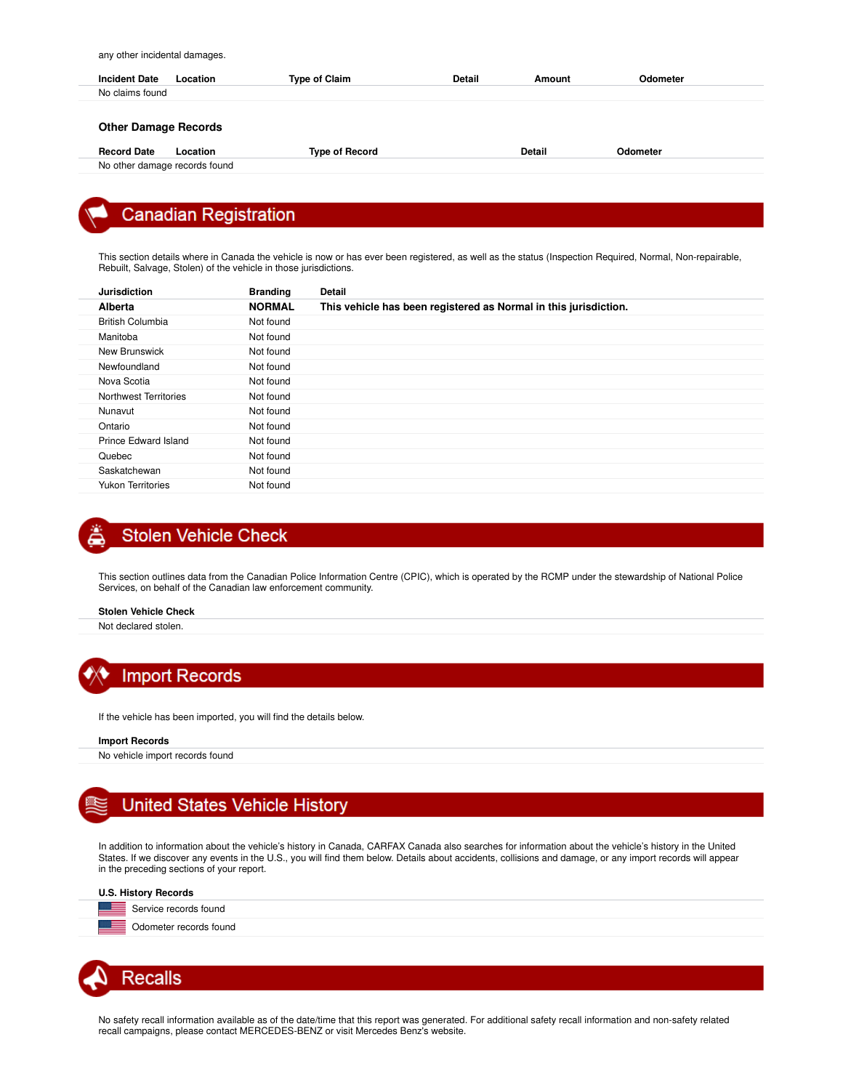any other incidental damages.

| <b>Incident Date</b>        | Location                      | <b>Type of Claim</b>  | <b>Detail</b> | Amount        | Odometer |
|-----------------------------|-------------------------------|-----------------------|---------------|---------------|----------|
| No claims found             |                               |                       |               |               |          |
| <b>Other Damage Records</b> |                               |                       |               |               |          |
| <b>Record Date</b>          | Location                      | <b>Type of Record</b> |               | <b>Detail</b> | Odometer |
|                             | No other damage records found |                       |               |               |          |

## **Canadian Registration**

This section details where in Canada the vehicle is now or has ever been registered, as well as the status (Inspection Required, Normal, Non-repairable, Rebuilt, Salvage, Stolen) of the vehicle in those jurisdictions.

| <b>Jurisdiction</b>      | <b>Branding</b> | <b>Detail</b>                                                    |
|--------------------------|-----------------|------------------------------------------------------------------|
| Alberta                  | <b>NORMAL</b>   | This vehicle has been registered as Normal in this jurisdiction. |
| <b>British Columbia</b>  | Not found       |                                                                  |
| Manitoba                 | Not found       |                                                                  |
| New Brunswick            | Not found       |                                                                  |
| Newfoundland             | Not found       |                                                                  |
| Nova Scotia              | Not found       |                                                                  |
| Northwest Territories    | Not found       |                                                                  |
| Nunavut                  | Not found       |                                                                  |
| Ontario                  | Not found       |                                                                  |
| Prince Edward Island     | Not found       |                                                                  |
| Quebec                   | Not found       |                                                                  |
| Saskatchewan             | Not found       |                                                                  |
| <b>Yukon Territories</b> | Not found       |                                                                  |

## **Stolen Vehicle Check**

This section outlines data from the Canadian Police Information Centre (CPIC), which is operated by the RCMP under the stewardship of National Police Services, on behalf of the Canadian law enforcement community.

**Stolen Vehicle Check**

Not declared stolen.



If the vehicle has been imported, you will find the details below.

#### **Import Records**

No vehicle import records found

## **United States Vehicle History**

In addition to information about the vehicle's history in Canada, CARFAX Canada also searches for information about the vehicle's history in the United States. If we discover any events in the U.S., you will find them below. Details about accidents, collisions and damage, or any import records will appear in the preceding sections of your report.

#### **U.S. History Records**

ਾ≡ Service records found ਾ≡ Odometer records found



No safety recall information available as of the date/time that this report was generated. For additional safety recall information and non-safety related recall campaigns, please contact MERCEDES-BENZ or visit Mercedes Benz's website.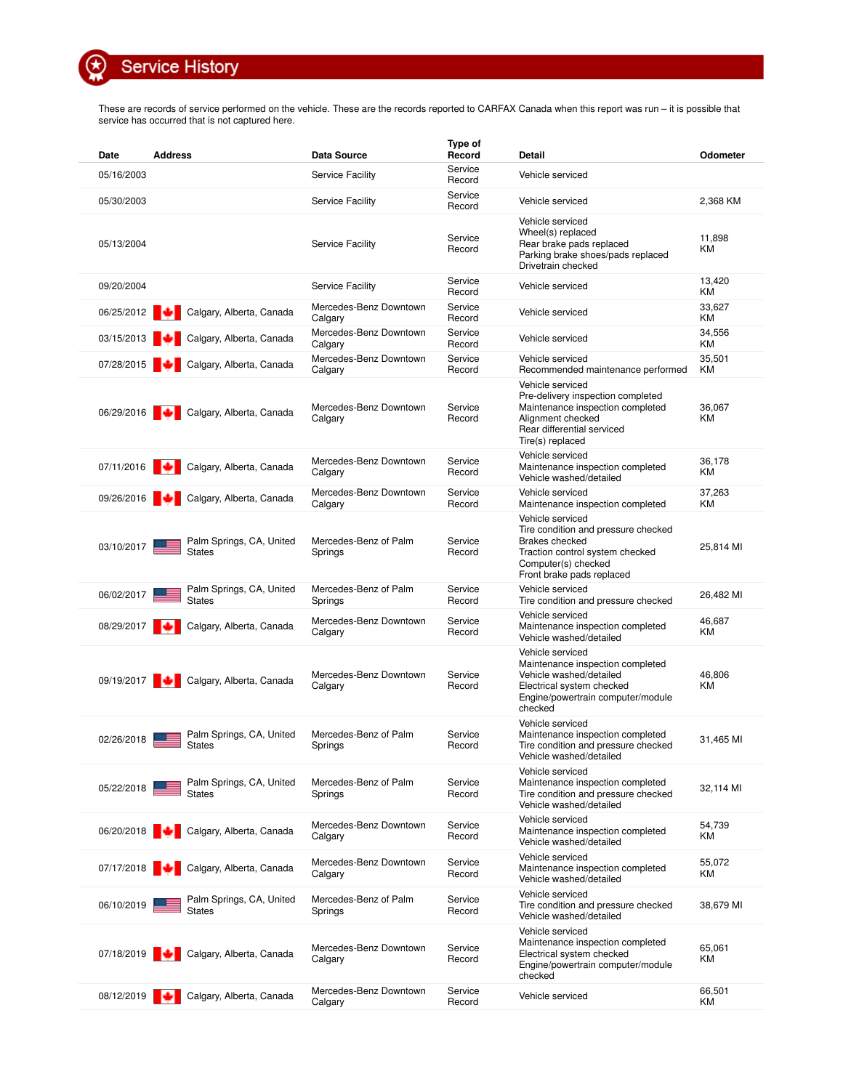**Service History** 

 $\circledcirc$ 

These are records of service performed on the vehicle. These are the records reported to CARFAX Canada when this report was run – it is possible that service has occurred that is not captured here.

| Date       | <b>Address</b>                            | Data Source                       | Type of<br>Record | Detail                                                                                                                                                                  | Odometer            |
|------------|-------------------------------------------|-----------------------------------|-------------------|-------------------------------------------------------------------------------------------------------------------------------------------------------------------------|---------------------|
| 05/16/2003 |                                           | Service Facility                  | Service<br>Record | Vehicle serviced                                                                                                                                                        |                     |
| 05/30/2003 |                                           | Service Facility                  | Service<br>Record | Vehicle serviced                                                                                                                                                        | 2,368 KM            |
| 05/13/2004 |                                           | Service Facility                  | Service<br>Record | Vehicle serviced<br>Wheel(s) replaced<br>Rear brake pads replaced<br>Parking brake shoes/pads replaced<br>Drivetrain checked                                            | 11,898<br>KM        |
| 09/20/2004 |                                           | <b>Service Facility</b>           | Service<br>Record | Vehicle serviced                                                                                                                                                        | 13,420<br>ΚM        |
| 06/25/2012 | Calgary, Alberta, Canada                  | Mercedes-Benz Downtown<br>Calgary | Service<br>Record | Vehicle serviced                                                                                                                                                        | 33,627<br>KM        |
| 03/15/2013 | Calgary, Alberta, Canada                  | Mercedes-Benz Downtown<br>Calgary | Service<br>Record | Vehicle serviced                                                                                                                                                        | 34,556<br>ΚM        |
| 07/28/2015 | Calgary, Alberta, Canada                  | Mercedes-Benz Downtown<br>Calgary | Service<br>Record | Vehicle serviced<br>Recommended maintenance performed                                                                                                                   | 35,501<br>KM        |
| 06/29/2016 | Calgary, Alberta, Canada<br>æэ            | Mercedes-Benz Downtown<br>Calgary | Service<br>Record | Vehicle serviced<br>Pre-delivery inspection completed<br>Maintenance inspection completed<br>Alignment checked<br>Rear differential serviced<br>Tire(s) replaced        | 36,067<br>ΚM        |
|            | 07/11/2016 Calgary, Alberta, Canada       | Mercedes-Benz Downtown<br>Calgary | Service<br>Record | Vehicle serviced<br>Maintenance inspection completed<br>Vehicle washed/detailed                                                                                         | 36,178<br><b>KM</b> |
| 09/26/2016 | Calgary, Alberta, Canada<br>IM.           | Mercedes-Benz Downtown<br>Calgary | Service<br>Record | Vehicle serviced<br>Maintenance inspection completed                                                                                                                    | 37,263<br>ΚM        |
| 03/10/2017 | Palm Springs, CA, United<br><b>States</b> | Mercedes-Benz of Palm<br>Springs  | Service<br>Record | Vehicle serviced<br>Tire condition and pressure checked<br><b>Brakes</b> checked<br>Traction control system checked<br>Computer(s) checked<br>Front brake pads replaced | 25,814 MI           |
| 06/02/2017 | Palm Springs, CA, United<br><b>States</b> | Mercedes-Benz of Palm<br>Springs  | Service<br>Record | Vehicle serviced<br>Tire condition and pressure checked                                                                                                                 | 26,482 MI           |
| 08/29/2017 | Calgary, Alberta, Canada                  | Mercedes-Benz Downtown<br>Calgary | Service<br>Record | Vehicle serviced<br>Maintenance inspection completed<br>Vehicle washed/detailed                                                                                         | 46,687<br>ΚM        |
|            | 09/19/2017 Calgary, Alberta, Canada       | Mercedes-Benz Downtown<br>Calgary | Service<br>Record | Vehicle serviced<br>Maintenance inspection completed<br>Vehicle washed/detailed<br>Electrical system checked<br>Engine/powertrain computer/module<br>checked            | 46,806<br>ΚM        |
| 02/26/2018 | Palm Springs, CA, United<br><b>States</b> | Mercedes-Benz of Palm<br>Springs  | Service<br>Record | Vehicle serviced<br>Maintenance inspection completed<br>Tire condition and pressure checked<br>Vehicle washed/detailed                                                  | 31,465 MI           |
| 05/22/2018 | Palm Springs, CA, United<br><b>States</b> | Mercedes-Benz of Palm<br>Springs  | Service<br>Record | Vehicle serviced<br>Maintenance inspection completed<br>Tire condition and pressure checked<br>Vehicle washed/detailed                                                  | 32,114 MI           |
| 06/20/2018 | Calgary, Alberta, Canada                  | Mercedes-Benz Downtown<br>Calgary | Service<br>Record | Vehicle serviced<br>Maintenance inspection completed<br>Vehicle washed/detailed                                                                                         | 54,739<br>ΚM        |
| 07/17/2018 | Calgary, Alberta, Canada                  | Mercedes-Benz Downtown<br>Calgary | Service<br>Record | Vehicle serviced<br>Maintenance inspection completed<br>Vehicle washed/detailed                                                                                         | 55,072<br>ΚM        |
| 06/10/2019 | Palm Springs, CA, United<br><b>States</b> | Mercedes-Benz of Palm<br>Springs  | Service<br>Record | Vehicle serviced<br>Tire condition and pressure checked<br>Vehicle washed/detailed                                                                                      | 38,679 MI           |
| 07/18/2019 | Calgary, Alberta, Canada                  | Mercedes-Benz Downtown<br>Calgary | Service<br>Record | Vehicle serviced<br>Maintenance inspection completed<br>Electrical system checked<br>Engine/powertrain computer/module<br>checked                                       | 65,061<br>ΚM        |
|            | 08/12/2019 Calgary, Alberta, Canada       | Mercedes-Benz Downtown<br>Calgary | Service<br>Record | Vehicle serviced                                                                                                                                                        | 66,501<br>KM        |